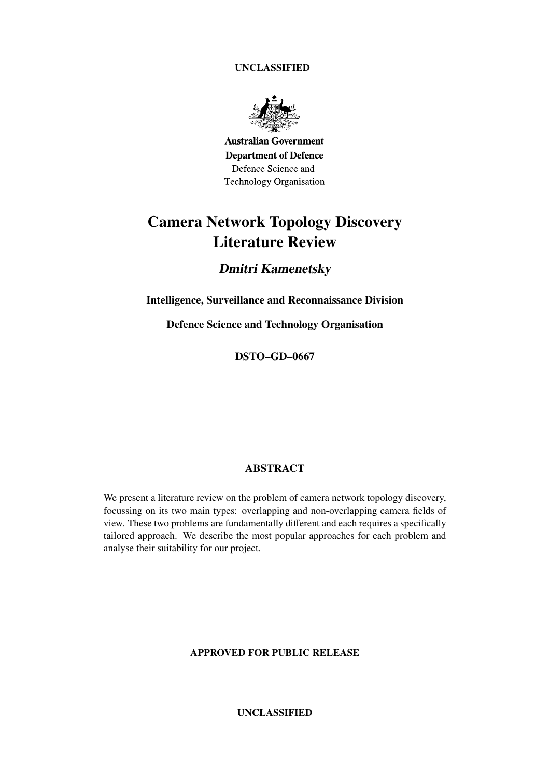#### UNCLASSIFIED



**Australian Government Department of Defence** Defence Science and **Technology Organisation** 

# Camera Network Topology Discovery Literature Review

Dmitri Kamenetsky

Intelligence, Surveillance and Reconnaissance Division

Defence Science and Technology Organisation

DSTO–GD–0667

### ABSTRACT

We present a literature review on the problem of camera network topology discovery, focussing on its two main types: overlapping and non-overlapping camera fields of view. These two problems are fundamentally different and each requires a specifically tailored approach. We describe the most popular approaches for each problem and analyse their suitability for our project.

APPROVED FOR PUBLIC RELEASE

UNCLASSIFIED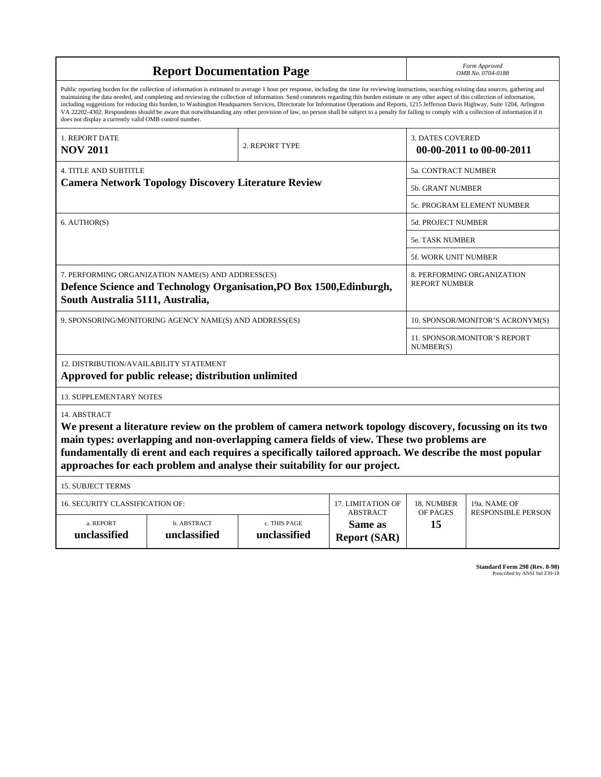| <b>Report Documentation Page</b>                                                                                                                                                                                                                                                                                                                                                                                                                                                                                                                                                                                                                                                                                                                                                                                                                                   |                                                     |                              |                                                   |                                           | Form Approved<br>OMB No. 0704-0188 |  |  |  |
|--------------------------------------------------------------------------------------------------------------------------------------------------------------------------------------------------------------------------------------------------------------------------------------------------------------------------------------------------------------------------------------------------------------------------------------------------------------------------------------------------------------------------------------------------------------------------------------------------------------------------------------------------------------------------------------------------------------------------------------------------------------------------------------------------------------------------------------------------------------------|-----------------------------------------------------|------------------------------|---------------------------------------------------|-------------------------------------------|------------------------------------|--|--|--|
| Public reporting burden for the collection of information is estimated to average 1 hour per response, including the time for reviewing instructions, searching existing data sources, gathering and<br>maintaining the data needed, and completing and reviewing the collection of information. Send comments regarding this burden estimate or any other aspect of this collection of information,<br>including suggestions for reducing this burden, to Washington Headquarters Services, Directorate for Information Operations and Reports, 1215 Jefferson Davis Highway, Suite 1204, Arlington<br>VA 22202-4302. Respondents should be aware that notwithstanding any other provision of law, no person shall be subject to a penalty for failing to comply with a collection of information if it<br>does not display a currently valid OMB control number. |                                                     |                              |                                                   |                                           |                                    |  |  |  |
| 1. REPORT DATE                                                                                                                                                                                                                                                                                                                                                                                                                                                                                                                                                                                                                                                                                                                                                                                                                                                     |                                                     | <b>3. DATES COVERED</b>      |                                                   |                                           |                                    |  |  |  |
| <b>NOV 2011</b>                                                                                                                                                                                                                                                                                                                                                                                                                                                                                                                                                                                                                                                                                                                                                                                                                                                    |                                                     | 2. REPORT TYPE               |                                                   | 00-00-2011 to 00-00-2011                  |                                    |  |  |  |
| <b>4. TITLE AND SUBTITLE</b>                                                                                                                                                                                                                                                                                                                                                                                                                                                                                                                                                                                                                                                                                                                                                                                                                                       |                                                     | 5a. CONTRACT NUMBER          |                                                   |                                           |                                    |  |  |  |
| <b>Camera Network Topology Discovery Literature Review</b>                                                                                                                                                                                                                                                                                                                                                                                                                                                                                                                                                                                                                                                                                                                                                                                                         |                                                     | <b>5b. GRANT NUMBER</b>      |                                                   |                                           |                                    |  |  |  |
|                                                                                                                                                                                                                                                                                                                                                                                                                                                                                                                                                                                                                                                                                                                                                                                                                                                                    |                                                     |                              |                                                   |                                           | 5c. PROGRAM ELEMENT NUMBER         |  |  |  |
| 6. AUTHOR(S)                                                                                                                                                                                                                                                                                                                                                                                                                                                                                                                                                                                                                                                                                                                                                                                                                                                       |                                                     |                              |                                                   | <b>5d. PROJECT NUMBER</b>                 |                                    |  |  |  |
|                                                                                                                                                                                                                                                                                                                                                                                                                                                                                                                                                                                                                                                                                                                                                                                                                                                                    |                                                     |                              |                                                   | <b>5e. TASK NUMBER</b>                    |                                    |  |  |  |
|                                                                                                                                                                                                                                                                                                                                                                                                                                                                                                                                                                                                                                                                                                                                                                                                                                                                    |                                                     |                              |                                                   | 5f. WORK UNIT NUMBER                      |                                    |  |  |  |
| 7. PERFORMING ORGANIZATION NAME(S) AND ADDRESS(ES)<br>8. PERFORMING ORGANIZATION<br><b>REPORT NUMBER</b><br>Defence Science and Technology Organisation, PO Box 1500, Edinburgh,<br>South Australia 5111, Australia,                                                                                                                                                                                                                                                                                                                                                                                                                                                                                                                                                                                                                                               |                                                     |                              |                                                   |                                           |                                    |  |  |  |
| 9. SPONSORING/MONITORING AGENCY NAME(S) AND ADDRESS(ES)                                                                                                                                                                                                                                                                                                                                                                                                                                                                                                                                                                                                                                                                                                                                                                                                            |                                                     |                              |                                                   | 10. SPONSOR/MONITOR'S ACRONYM(S)          |                                    |  |  |  |
|                                                                                                                                                                                                                                                                                                                                                                                                                                                                                                                                                                                                                                                                                                                                                                                                                                                                    |                                                     |                              |                                                   | 11. SPONSOR/MONITOR'S REPORT<br>NUMBER(S) |                                    |  |  |  |
| 12. DISTRIBUTION/AVAILABILITY STATEMENT                                                                                                                                                                                                                                                                                                                                                                                                                                                                                                                                                                                                                                                                                                                                                                                                                            | Approved for public release; distribution unlimited |                              |                                                   |                                           |                                    |  |  |  |
| <b>13. SUPPLEMENTARY NOTES</b>                                                                                                                                                                                                                                                                                                                                                                                                                                                                                                                                                                                                                                                                                                                                                                                                                                     |                                                     |                              |                                                   |                                           |                                    |  |  |  |
| 14. ABSTRACT<br>We present a literature review on the problem of camera network topology discovery, focussing on its two<br>main types: overlapping and non-overlapping camera fields of view. These two problems are<br>fundamentally di erent and each requires a specifically tailored approach. We describe the most popular<br>approaches for each problem and analyse their suitability for our project.                                                                                                                                                                                                                                                                                                                                                                                                                                                     |                                                     |                              |                                                   |                                           |                                    |  |  |  |
| <b>15. SUBJECT TERMS</b>                                                                                                                                                                                                                                                                                                                                                                                                                                                                                                                                                                                                                                                                                                                                                                                                                                           |                                                     |                              |                                                   |                                           |                                    |  |  |  |
| 16. SECURITY CLASSIFICATION OF:                                                                                                                                                                                                                                                                                                                                                                                                                                                                                                                                                                                                                                                                                                                                                                                                                                    | 17. LIMITATION OF                                   | 18. NUMBER                   | 19a. NAME OF                                      |                                           |                                    |  |  |  |
| a. REPORT<br>unclassified                                                                                                                                                                                                                                                                                                                                                                                                                                                                                                                                                                                                                                                                                                                                                                                                                                          | b. ABSTRACT<br>unclassified                         | c. THIS PAGE<br>unclassified | <b>ABSTRACT</b><br>Same as<br><b>Report (SAR)</b> | OF PAGES<br>15                            | <b>RESPONSIBLE PERSON</b>          |  |  |  |

**Standard Form 298 (Rev. 8-98)**<br>Prescribed by ANSI Std Z39-18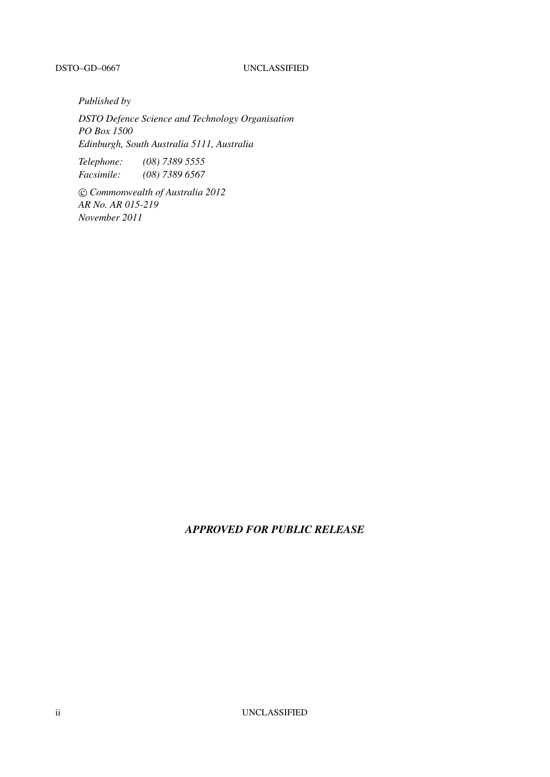*Published by*

*DSTO Defence Science and Technology Organisation PO Box 1500 Edinburgh, South Australia 5111, Australia*

*Telephone: (08) 7389 5555 Facsimile: (08) 7389 6567*

 c *Commonwealth of Australia 2012 AR No. AR 015-219 November 2011*

### *APPROVED FOR PUBLIC RELEASE*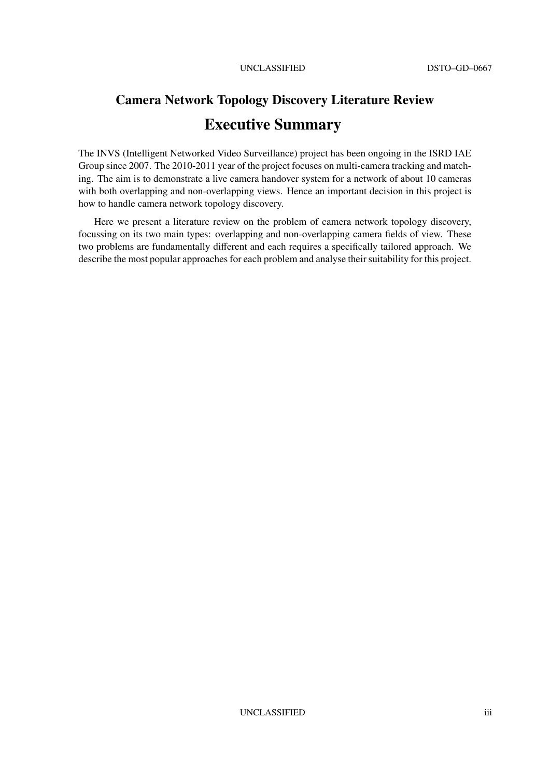# Camera Network Topology Discovery Literature Review Executive Summary

The INVS (Intelligent Networked Video Surveillance) project has been ongoing in the ISRD IAE Group since 2007. The 2010-2011 year of the project focuses on multi-camera tracking and matching. The aim is to demonstrate a live camera handover system for a network of about 10 cameras with both overlapping and non-overlapping views. Hence an important decision in this project is how to handle camera network topology discovery.

Here we present a literature review on the problem of camera network topology discovery, focussing on its two main types: overlapping and non-overlapping camera fields of view. These two problems are fundamentally different and each requires a specifically tailored approach. We describe the most popular approaches for each problem and analyse their suitability for this project.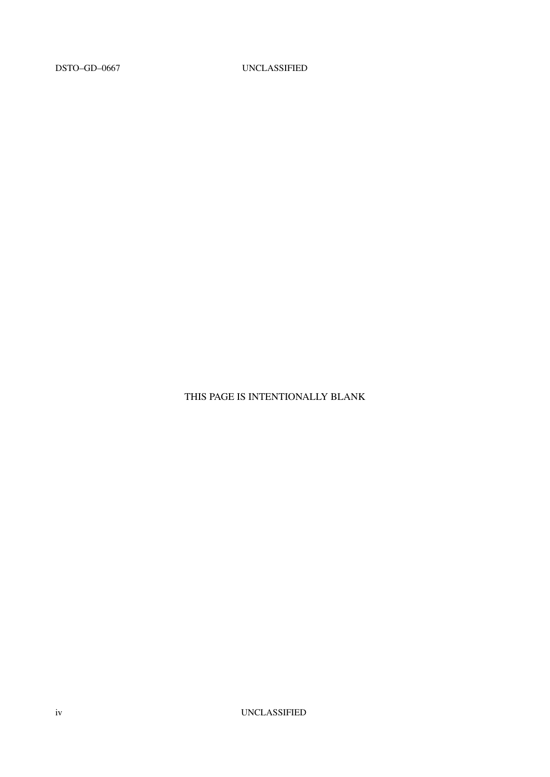DSTO-GD-0667

**UNCLASSIFIED** 

THIS PAGE IS INTENTIONALLY BLANK

**UNCLASSIFIED**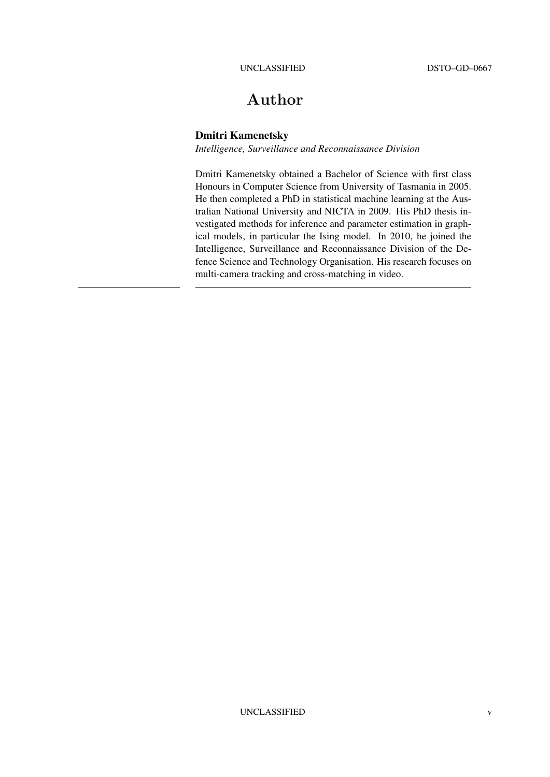## Author

### Dmitri Kamenetsky

*Intelligence, Surveillance and Reconnaissance Division*

Dmitri Kamenetsky obtained a Bachelor of Science with first class Honours in Computer Science from University of Tasmania in 2005. He then completed a PhD in statistical machine learning at the Australian National University and NICTA in 2009. His PhD thesis investigated methods for inference and parameter estimation in graphical models, in particular the Ising model. In 2010, he joined the Intelligence, Surveillance and Reconnaissance Division of the Defence Science and Technology Organisation. His research focuses on multi-camera tracking and cross-matching in video.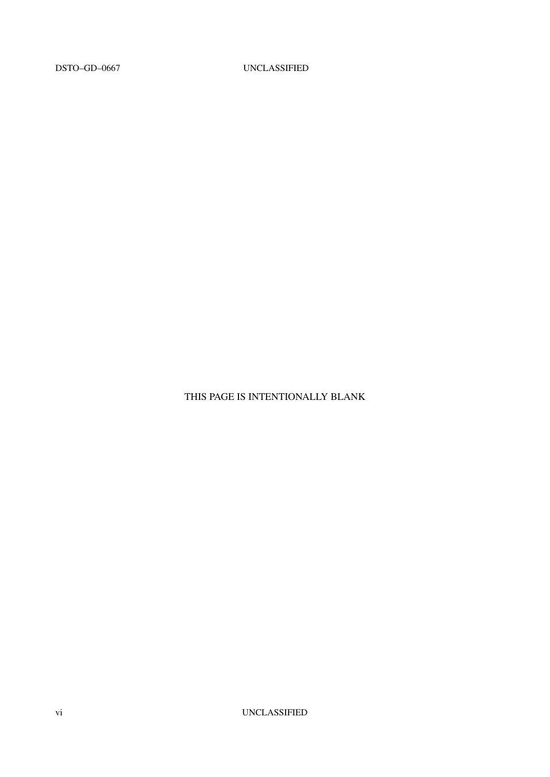DSTO-GD-0667

**UNCLASSIFIED** 

THIS PAGE IS INTENTIONALLY BLANK

**UNCLASSIFIED**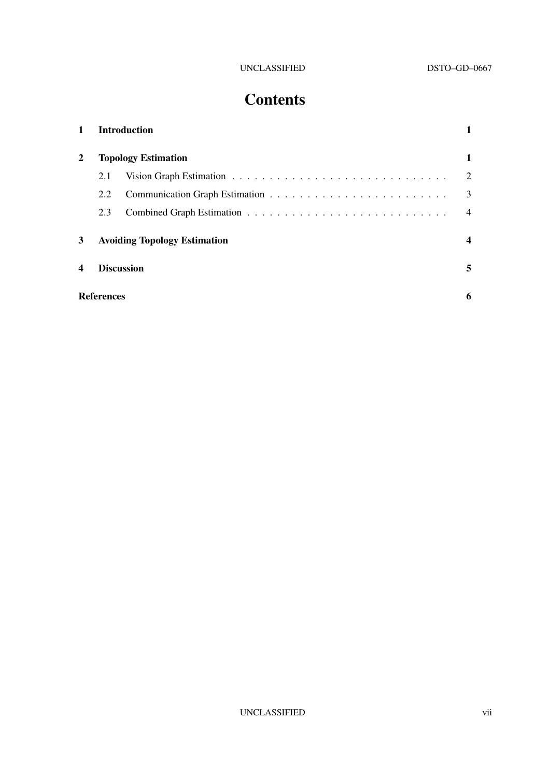# **Contents**

| 1 |                                     | <b>Introduction</b>        |                |  |  |  |  |  |  |
|---|-------------------------------------|----------------------------|----------------|--|--|--|--|--|--|
| 2 |                                     | <b>Topology Estimation</b> |                |  |  |  |  |  |  |
|   | 2.1                                 |                            | 2              |  |  |  |  |  |  |
|   | 2.2                                 |                            | 3              |  |  |  |  |  |  |
|   | 2.3                                 |                            | $\overline{4}$ |  |  |  |  |  |  |
| 3 | <b>Avoiding Topology Estimation</b> |                            |                |  |  |  |  |  |  |
| 4 |                                     | <b>Discussion</b>          | 5              |  |  |  |  |  |  |
|   | <b>References</b>                   |                            | 6              |  |  |  |  |  |  |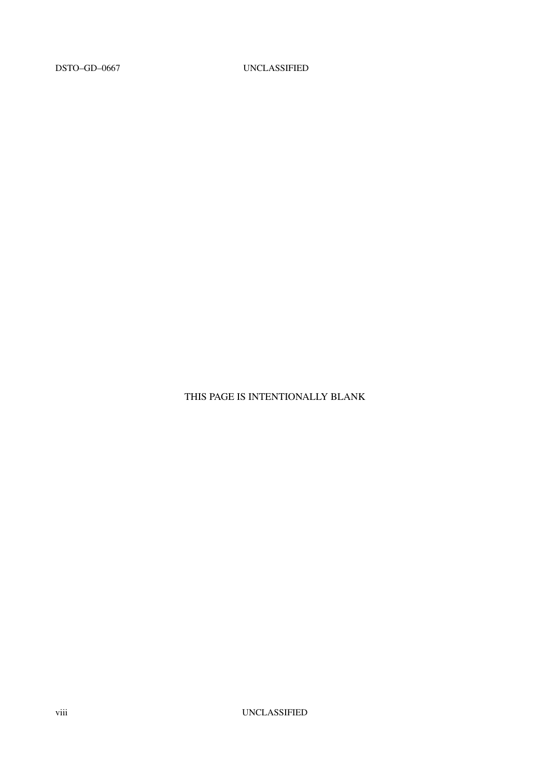DSTO-GD-0667

THIS PAGE IS INTENTIONALLY BLANK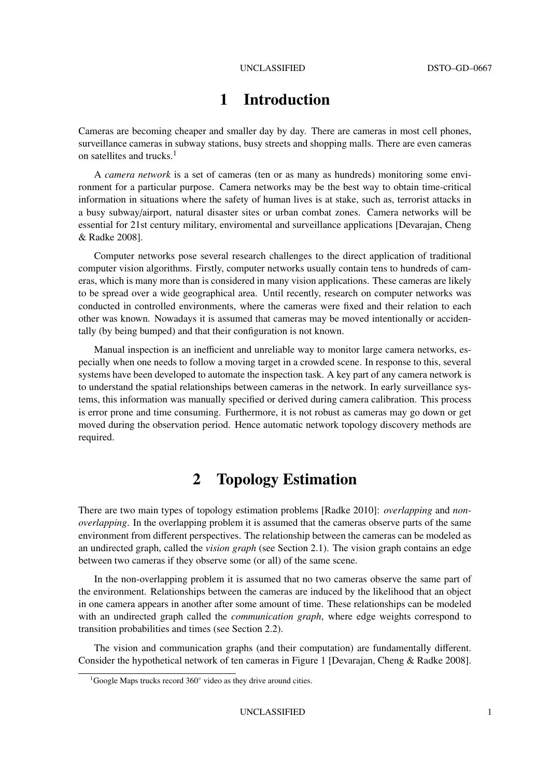## 1 Introduction

Cameras are becoming cheaper and smaller day by day. There are cameras in most cell phones, surveillance cameras in subway stations, busy streets and shopping malls. There are even cameras on satellites and trucks.<sup>1</sup>

A *camera network* is a set of cameras (ten or as many as hundreds) monitoring some environment for a particular purpose. Camera networks may be the best way to obtain time-critical information in situations where the safety of human lives is at stake, such as, terrorist attacks in a busy subway/airport, natural disaster sites or urban combat zones. Camera networks will be essential for 21st century military, enviromental and surveillance applications [Devarajan, Cheng & Radke 2008].

Computer networks pose several research challenges to the direct application of traditional computer vision algorithms. Firstly, computer networks usually contain tens to hundreds of cameras, which is many more than is considered in many vision applications. These cameras are likely to be spread over a wide geographical area. Until recently, research on computer networks was conducted in controlled environments, where the cameras were fixed and their relation to each other was known. Nowadays it is assumed that cameras may be moved intentionally or accidentally (by being bumped) and that their configuration is not known.

Manual inspection is an inefficient and unreliable way to monitor large camera networks, especially when one needs to follow a moving target in a crowded scene. In response to this, several systems have been developed to automate the inspection task. A key part of any camera network is to understand the spatial relationships between cameras in the network. In early surveillance systems, this information was manually specified or derived during camera calibration. This process is error prone and time consuming. Furthermore, it is not robust as cameras may go down or get moved during the observation period. Hence automatic network topology discovery methods are required.

## 2 Topology Estimation

There are two main types of topology estimation problems [Radke 2010]: *overlapping* and *nonoverlapping*. In the overlapping problem it is assumed that the cameras observe parts of the same environment from different perspectives. The relationship between the cameras can be modeled as an undirected graph, called the *vision graph* (see Section 2.1). The vision graph contains an edge between two cameras if they observe some (or all) of the same scene.

In the non-overlapping problem it is assumed that no two cameras observe the same part of the environment. Relationships between the cameras are induced by the likelihood that an object in one camera appears in another after some amount of time. These relationships can be modeled with an undirected graph called the *communication graph*, where edge weights correspond to transition probabilities and times (see Section 2.2).

The vision and communication graphs (and their computation) are fundamentally different. Consider the hypothetical network of ten cameras in Figure 1 [Devarajan, Cheng & Radke 2008].

<sup>&</sup>lt;sup>1</sup>Google Maps trucks record 360° video as they drive around cities.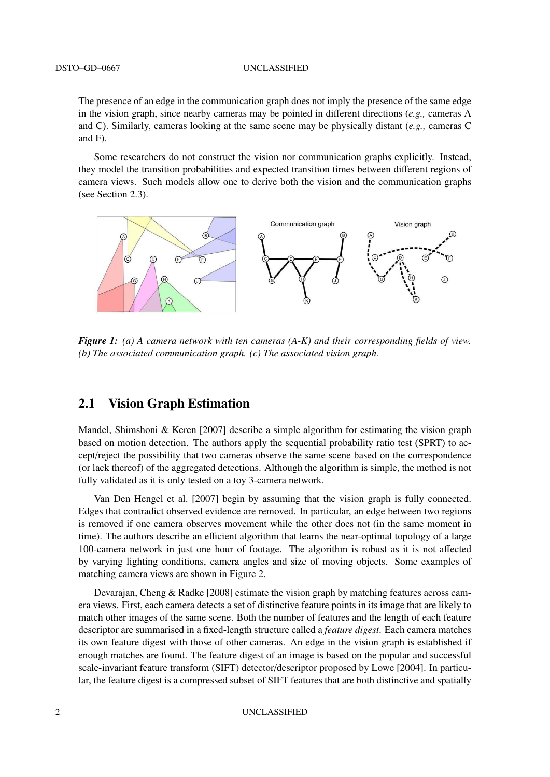The presence of an edge in the communication graph does not imply the presence of the same edge in the vision graph, since nearby cameras may be pointed in different directions (*e.g.,* cameras A and C). Similarly, cameras looking at the same scene may be physically distant (*e.g.,* cameras C and F).

Some researchers do not construct the vision nor communication graphs explicitly. Instead, they model the transition probabilities and expected transition times between different regions of camera views. Such models allow one to derive both the vision and the communication graphs (see Section 2.3).



*Figure 1: (a) A camera network with ten cameras (A-K) and their corresponding fields of view. (b) The associated communication graph. (c) The associated vision graph.*

## 2.1 Vision Graph Estimation

Mandel, Shimshoni & Keren [2007] describe a simple algorithm for estimating the vision graph based on motion detection. The authors apply the sequential probability ratio test (SPRT) to accept/reject the possibility that two cameras observe the same scene based on the correspondence (or lack thereof) of the aggregated detections. Although the algorithm is simple, the method is not fully validated as it is only tested on a toy 3-camera network.

Van Den Hengel et al. [2007] begin by assuming that the vision graph is fully connected. Edges that contradict observed evidence are removed. In particular, an edge between two regions is removed if one camera observes movement while the other does not (in the same moment in time). The authors describe an efficient algorithm that learns the near-optimal topology of a large 100-camera network in just one hour of footage. The algorithm is robust as it is not affected by varying lighting conditions, camera angles and size of moving objects. Some examples of matching camera views are shown in Figure 2.

Devarajan, Cheng & Radke [2008] estimate the vision graph by matching features across camera views. First, each camera detects a set of distinctive feature points in its image that are likely to match other images of the same scene. Both the number of features and the length of each feature descriptor are summarised in a fixed-length structure called a *feature digest*. Each camera matches its own feature digest with those of other cameras. An edge in the vision graph is established if enough matches are found. The feature digest of an image is based on the popular and successful scale-invariant feature transform (SIFT) detector/descriptor proposed by Lowe [2004]. In particular, the feature digest is a compressed subset of SIFT features that are both distinctive and spatially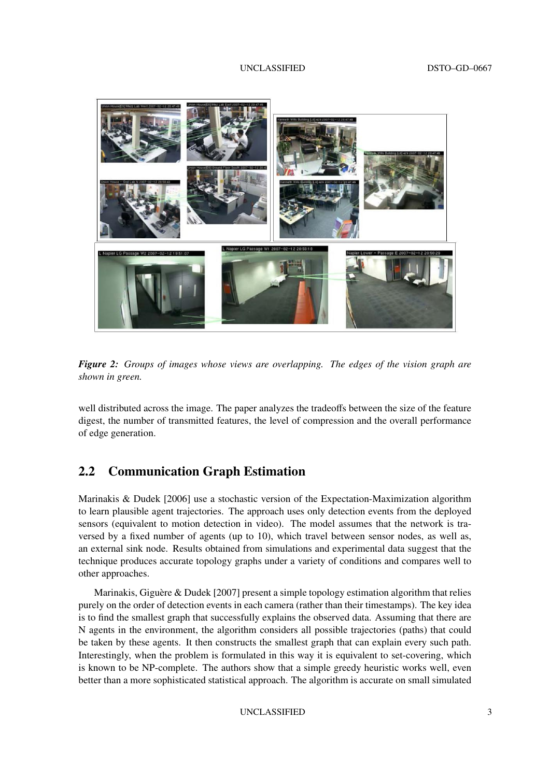### UNCLASSIFIED DSTO–GD–0667



*Figure 2: Groups of images whose views are overlapping. The edges of the vision graph are shown in green.*

well distributed across the image. The paper analyzes the tradeoffs between the size of the feature digest, the number of transmitted features, the level of compression and the overall performance of edge generation.

## 2.2 Communication Graph Estimation

Marinakis & Dudek [2006] use a stochastic version of the Expectation-Maximization algorithm to learn plausible agent trajectories. The approach uses only detection events from the deployed sensors (equivalent to motion detection in video). The model assumes that the network is traversed by a fixed number of agents (up to 10), which travel between sensor nodes, as well as, an external sink node. Results obtained from simulations and experimental data suggest that the technique produces accurate topology graphs under a variety of conditions and compares well to other approaches.

Marinakis, Giguère & Dudek [2007] present a simple topology estimation algorithm that relies purely on the order of detection events in each camera (rather than their timestamps). The key idea is to find the smallest graph that successfully explains the observed data. Assuming that there are N agents in the environment, the algorithm considers all possible trajectories (paths) that could be taken by these agents. It then constructs the smallest graph that can explain every such path. Interestingly, when the problem is formulated in this way it is equivalent to set-covering, which is known to be NP-complete. The authors show that a simple greedy heuristic works well, even better than a more sophisticated statistical approach. The algorithm is accurate on small simulated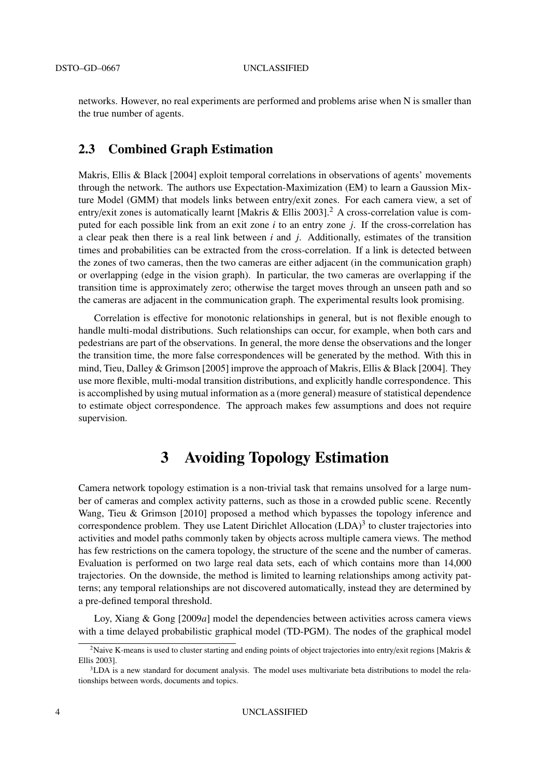networks. However, no real experiments are performed and problems arise when N is smaller than the true number of agents.

### 2.3 Combined Graph Estimation

Makris, Ellis & Black [2004] exploit temporal correlations in observations of agents' movements through the network. The authors use Expectation-Maximization (EM) to learn a Gaussion Mixture Model (GMM) that models links between entry/exit zones. For each camera view, a set of entry/exit zones is automatically learnt [Makris & Ellis 2003].<sup>2</sup> A cross-correlation value is computed for each possible link from an exit zone *i* to an entry zone *j*. If the cross-correlation has a clear peak then there is a real link between *i* and *j*. Additionally, estimates of the transition times and probabilities can be extracted from the cross-correlation. If a link is detected between the zones of two cameras, then the two cameras are either adjacent (in the communication graph) or overlapping (edge in the vision graph). In particular, the two cameras are overlapping if the transition time is approximately zero; otherwise the target moves through an unseen path and so the cameras are adjacent in the communication graph. The experimental results look promising.

Correlation is effective for monotonic relationships in general, but is not flexible enough to handle multi-modal distributions. Such relationships can occur, for example, when both cars and pedestrians are part of the observations. In general, the more dense the observations and the longer the transition time, the more false correspondences will be generated by the method. With this in mind, Tieu, Dalley & Grimson [2005] improve the approach of Makris, Ellis & Black [2004]. They use more flexible, multi-modal transition distributions, and explicitly handle correspondence. This is accomplished by using mutual information as a (more general) measure of statistical dependence to estimate object correspondence. The approach makes few assumptions and does not require supervision.

## 3 Avoiding Topology Estimation

Camera network topology estimation is a non-trivial task that remains unsolved for a large number of cameras and complex activity patterns, such as those in a crowded public scene. Recently Wang, Tieu & Grimson [2010] proposed a method which bypasses the topology inference and correspondence problem. They use Latent Dirichlet Allocation (LDA)<sup>3</sup> to cluster trajectories into activities and model paths commonly taken by objects across multiple camera views. The method has few restrictions on the camera topology, the structure of the scene and the number of cameras. Evaluation is performed on two large real data sets, each of which contains more than 14,000 trajectories. On the downside, the method is limited to learning relationships among activity patterns; any temporal relationships are not discovered automatically, instead they are determined by a pre-defined temporal threshold.

Loy, Xiang & Gong [2009*a*] model the dependencies between activities across camera views with a time delayed probabilistic graphical model (TD-PGM). The nodes of the graphical model

<sup>&</sup>lt;sup>2</sup>Naive K-means is used to cluster starting and ending points of object trajectories into entry/exit regions [Makris & Ellis 2003].

<sup>&</sup>lt;sup>3</sup>LDA is a new standard for document analysis. The model uses multivariate beta distributions to model the relationships between words, documents and topics.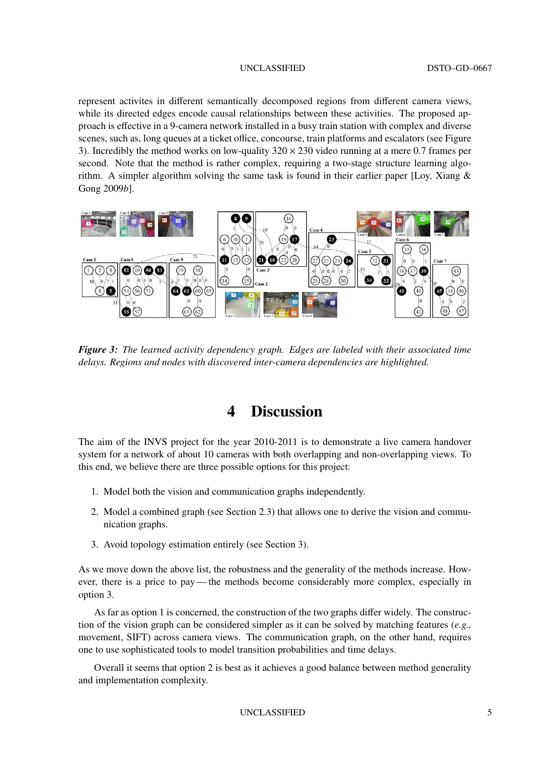#### UNCLASSIFIED DSTO–GD–0667

represent activites in different semantically decomposed regions from different camera views, while its directed edges encode causal relationships between these activities. The proposed approach is effective in a 9-camera network installed in a busy train station with complex and diverse scenes, such as, long queues at a ticket office, concourse, train platforms and escalators (see Figure 3). Incredibly the method works on low-quality  $320 \times 230$  video running at a mere 0.7 frames per second. Note that the method is rather complex, requiring a two-stage structure learning algorithm. A simpler algorithm solving the same task is found in their earlier paper [Loy, Xiang  $\&$ Gong 2009*b*].



*Figure 3: The learned activity dependency graph. Edges are labeled with their associated time delays. Regions and nodes with discovered inter-camera dependencies are highlighted.*

## 4 Discussion

The aim of the INVS project for the year 2010-2011 is to demonstrate a live camera handover system for a network of about 10 cameras with both overlapping and non-overlapping views. To this end, we believe there are three possible options for this project:

- 1. Model both the vision and communication graphs independently.
- 2. Model a combined graph (see Section 2.3) that allows one to derive the vision and communication graphs.
- 3. Avoid topology estimation entirely (see Section 3).

As we move down the above list, the robustness and the generality of the methods increase. However, there is a price to pay— the methods become considerably more complex, especially in option 3.

As far as option 1 is concerned, the construction of the two graphs differ widely. The construction of the vision graph can be considered simpler as it can be solved by matching features (*e.g.,* movement, SIFT) across camera views. The communication graph, on the other hand, requires one to use sophisticated tools to model transition probabilities and time delays.

Overall it seems that option 2 is best as it achieves a good balance between method generality and implementation complexity.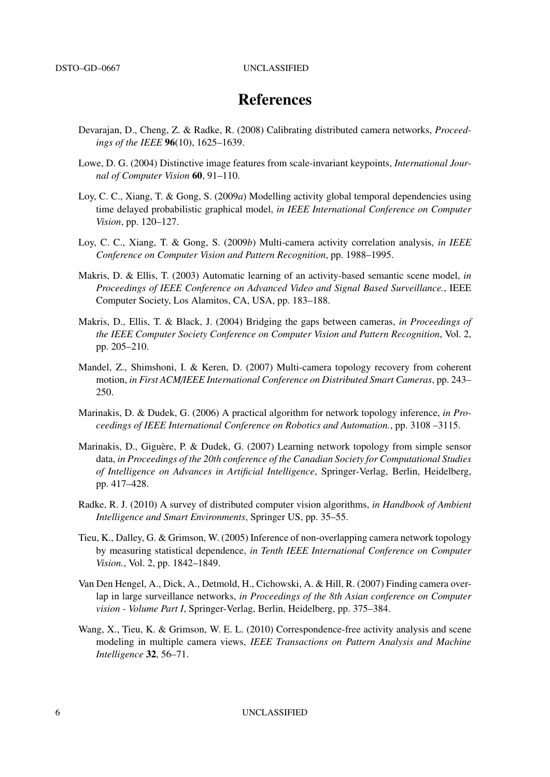DSTO–GD–0667 UNCLASSIFIED

## References

- Devarajan, D., Cheng, Z. & Radke, R. (2008) Calibrating distributed camera networks, *Proceedings of the IEEE* 96(10), 1625–1639.
- Lowe, D. G. (2004) Distinctive image features from scale-invariant keypoints, *International Journal of Computer Vision* 60, 91–110.
- Loy, C. C., Xiang, T. & Gong, S. (2009*a*) Modelling activity global temporal dependencies using time delayed probabilistic graphical model, *in IEEE International Conference on Computer Vision*, pp. 120–127.
- Loy, C. C., Xiang, T. & Gong, S. (2009*b*) Multi-camera activity correlation analysis, *in IEEE Conference on Computer Vision and Pattern Recognition*, pp. 1988–1995.
- Makris, D. & Ellis, T. (2003) Automatic learning of an activity-based semantic scene model, *in Proceedings of IEEE Conference on Advanced Video and Signal Based Surveillance.*, IEEE Computer Society, Los Alamitos, CA, USA, pp. 183–188.
- Makris, D., Ellis, T. & Black, J. (2004) Bridging the gaps between cameras, *in Proceedings of the IEEE Computer Society Conference on Computer Vision and Pattern Recognition*, Vol. 2, pp. 205–210.
- Mandel, Z., Shimshoni, I. & Keren, D. (2007) Multi-camera topology recovery from coherent motion, *in First ACM*/*IEEE International Conference on Distributed Smart Cameras*, pp. 243– 250.
- Marinakis, D. & Dudek, G. (2006) A practical algorithm for network topology inference, *in Proceedings of IEEE International Conference on Robotics and Automation.*, pp. 3108 –3115.
- Marinakis, D., Giguère, P. & Dudek, G. (2007) Learning network topology from simple sensor data, *in Proceedings of the 20th conference of the Canadian Society for Computational Studies of Intelligence on Advances in Artificial Intelligence*, Springer-Verlag, Berlin, Heidelberg, pp. 417–428.
- Radke, R. J. (2010) A survey of distributed computer vision algorithms, *in Handbook of Ambient Intelligence and Smart Environments*, Springer US, pp. 35–55.
- Tieu, K., Dalley, G. & Grimson, W. (2005) Inference of non-overlapping camera network topology by measuring statistical dependence, *in Tenth IEEE International Conference on Computer Vision.*, Vol. 2, pp. 1842–1849.
- Van Den Hengel, A., Dick, A., Detmold, H., Cichowski, A. & Hill, R. (2007) Finding camera overlap in large surveillance networks, *in Proceedings of the 8th Asian conference on Computer vision - Volume Part I*, Springer-Verlag, Berlin, Heidelberg, pp. 375–384.
- Wang, X., Tieu, K. & Grimson, W. E. L. (2010) Correspondence-free activity analysis and scene modeling in multiple camera views, *IEEE Transactions on Pattern Analysis and Machine Intelligence* 32, 56–71.